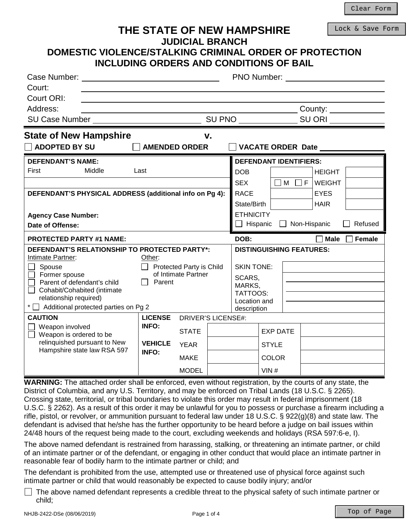#### Lock & Save Form

# **THE STATE OF NEW HAMPSHIRE JUDICIAL BRANCH**

# **DOMESTIC VIOLENCE/STALKING CRIMINAL ORDER OF PROTECTION INCLUDING ORDERS AND CONDITIONS OF BAIL**

| Court:                                                      | Case Number: The Case of the Case of the Case of the Case of the Case of the Case of the Case of the Case of the Case of the Case of the Case of the Case of the Case of the Case of the Case of the Case of the Case of the C<br><b>PNO Number:</b> The contract of the contract of the contract of the contract of the contract of the contract of the contract of the contract of the contract of the contract of the contract of the contract of the contract of |                                                        |                               |                                                   |              |                      |                          |               |
|-------------------------------------------------------------|----------------------------------------------------------------------------------------------------------------------------------------------------------------------------------------------------------------------------------------------------------------------------------------------------------------------------------------------------------------------------------------------------------------------------------------------------------------------|--------------------------------------------------------|-------------------------------|---------------------------------------------------|--------------|----------------------|--------------------------|---------------|
| Court ORI:<br>Address:                                      |                                                                                                                                                                                                                                                                                                                                                                                                                                                                      | County: 2000                                           |                               |                                                   |              |                      |                          |               |
| $\sim$ SU PNO $\sim$<br>SU Case Number                      |                                                                                                                                                                                                                                                                                                                                                                                                                                                                      |                                                        | SU ORI                        |                                                   |              |                      |                          |               |
| <b>State of New Hampshire</b><br>$\Box$ ADOPTED BY SU       | <b>AMENDED ORDER</b>                                                                                                                                                                                                                                                                                                                                                                                                                                                 |                                                        | v.                            |                                                   |              |                      | <b>VACATE ORDER Date</b> |               |
| <b>DEFENDANT'S NAME:</b>                                    |                                                                                                                                                                                                                                                                                                                                                                                                                                                                      |                                                        | <b>DEFENDANT IDENTIFIERS:</b> |                                                   |              |                      |                          |               |
| First<br>Middle                                             | Last                                                                                                                                                                                                                                                                                                                                                                                                                                                                 |                                                        |                               | <b>DOB</b>                                        |              |                      | <b>HEIGHT</b>            |               |
|                                                             |                                                                                                                                                                                                                                                                                                                                                                                                                                                                      |                                                        |                               | <b>SEX</b>                                        |              | $\Box$ M<br>$\Box F$ | <b>WEIGHT</b>            |               |
| DEFENDANT'S PHYSICAL ADDRESS (additional info on Pg 4):     |                                                                                                                                                                                                                                                                                                                                                                                                                                                                      |                                                        |                               | <b>RACE</b>                                       |              |                      | <b>EYES</b>              |               |
|                                                             |                                                                                                                                                                                                                                                                                                                                                                                                                                                                      |                                                        |                               |                                                   | State/Birth  |                      | <b>HAIR</b>              |               |
| <b>Agency Case Number:</b>                                  |                                                                                                                                                                                                                                                                                                                                                                                                                                                                      |                                                        |                               | <b>ETHNICITY</b>                                  |              |                      |                          |               |
| Date of Offense:                                            |                                                                                                                                                                                                                                                                                                                                                                                                                                                                      |                                                        |                               | $\Box$ Hispanic<br>$\Box$ Non-Hispanic<br>Refused |              |                      |                          |               |
| <b>PROTECTED PARTY #1 NAME:</b>                             |                                                                                                                                                                                                                                                                                                                                                                                                                                                                      |                                                        |                               | DOB:                                              |              |                      | Male $\Box$              | <b>Female</b> |
| DEFENDANT'S RELATIONSHIP TO PROTECTED PARTY*:               |                                                                                                                                                                                                                                                                                                                                                                                                                                                                      |                                                        |                               | <b>DISTINGUISHING FEATURES:</b>                   |              |                      |                          |               |
| Intimate Partner:<br>Spouse                                 | Other:                                                                                                                                                                                                                                                                                                                                                                                                                                                               |                                                        |                               | <b>SKIN TONE:</b>                                 |              |                      |                          |               |
| Former spouse                                               |                                                                                                                                                                                                                                                                                                                                                                                                                                                                      | $\Box$ Protected Party is Child<br>of Intimate Partner |                               |                                                   | SCARS,       |                      |                          |               |
| Parent of defendant's child                                 | Parent                                                                                                                                                                                                                                                                                                                                                                                                                                                               |                                                        |                               | MARKS,                                            |              |                      |                          |               |
| Cohabit/Cohabited (intimate<br>relationship required)       |                                                                                                                                                                                                                                                                                                                                                                                                                                                                      |                                                        | TATTOOS:<br>Location and      |                                                   |              |                      |                          |               |
| * $\Box$ Additional protected parties on Pg 2               |                                                                                                                                                                                                                                                                                                                                                                                                                                                                      |                                                        |                               | description                                       |              |                      |                          |               |
| <b>CAUTION</b>                                              | <b>LICENSE</b><br><b>INFO:</b>                                                                                                                                                                                                                                                                                                                                                                                                                                       | <b>DRIVER'S LICENSE#:</b>                              |                               |                                                   |              |                      |                          |               |
| Weapon involved<br>Weapon is ordered to be                  |                                                                                                                                                                                                                                                                                                                                                                                                                                                                      | <b>STATE</b>                                           |                               |                                                   |              | <b>EXP DATE</b>      |                          |               |
| relinquished pursuant to New<br>Hampshire state law RSA 597 | <b>VEHICLE</b><br><b>INFO:</b>                                                                                                                                                                                                                                                                                                                                                                                                                                       | <b>YEAR</b>                                            |                               |                                                   |              | <b>STYLE</b>         |                          |               |
|                                                             |                                                                                                                                                                                                                                                                                                                                                                                                                                                                      | <b>MAKE</b>                                            |                               |                                                   | <b>COLOR</b> |                      |                          |               |
|                                                             |                                                                                                                                                                                                                                                                                                                                                                                                                                                                      | <b>MODEL</b>                                           |                               |                                                   | VIN#         |                      |                          |               |

**WARNING:** The attached order shall be enforced, even without registration, by the courts of any state, the District of Columbia, and any U.S. Territory, and may be enforced on Tribal Lands (18 U.S.C. § 2265). Crossing state, territorial, or tribal boundaries to violate this order may result in federal imprisonment (18 U.S.C. § 2262). As a result of this order it may be unlawful for you to possess or purchase a firearm including a rifle, pistol, or revolver, or ammunition pursuant to federal law under 18 U.S.C. § 922(g)(8) and state law. The defendant is advised that he/she has the further opportunity to be heard before a judge on bail issues within 24/48 hours of the request being made to the court, excluding weekends and holidays (RSA 597:6-e, I).

The above named defendant is restrained from harassing, stalking, or threatening an intimate partner, or child of an intimate partner or of the defendant, or engaging in other conduct that would place an intimate partner in reasonable fear of bodily harm to the intimate partner or child; and

The defendant is prohibited from the use, attempted use or threatened use of physical force against such intimate partner or child that would reasonably be expected to cause bodily injury; and/or

 $\Box$  The above named defendant represents a credible threat to the physical safety of such intimate partner or child;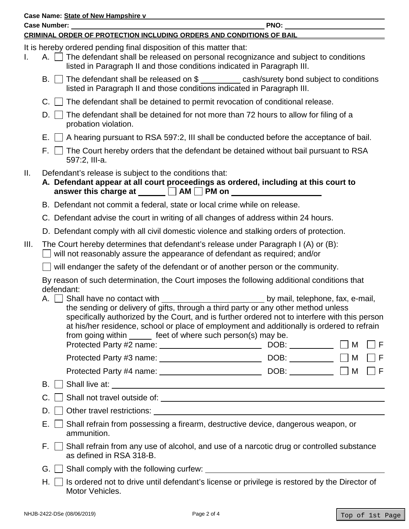|                                                                                                        | Case Name: State of New Hampshire v                                                                                                                                                                                                     |                                                                                                                                                                                                                                                                                                                                                                                                                                                                                                                                 |  |  |  |  |  |
|--------------------------------------------------------------------------------------------------------|-----------------------------------------------------------------------------------------------------------------------------------------------------------------------------------------------------------------------------------------|---------------------------------------------------------------------------------------------------------------------------------------------------------------------------------------------------------------------------------------------------------------------------------------------------------------------------------------------------------------------------------------------------------------------------------------------------------------------------------------------------------------------------------|--|--|--|--|--|
|                                                                                                        | CRIMINAL ORDER OF PROTECTION INCLUDING ORDERS AND CONDITIONS OF BAIL                                                                                                                                                                    |                                                                                                                                                                                                                                                                                                                                                                                                                                                                                                                                 |  |  |  |  |  |
| L.                                                                                                     | It is hereby ordered pending final disposition of this matter that:<br>A. The defendant shall be released on personal recognizance and subject to conditions<br>listed in Paragraph II and those conditions indicated in Paragraph III. |                                                                                                                                                                                                                                                                                                                                                                                                                                                                                                                                 |  |  |  |  |  |
|                                                                                                        | B. $\Box$ The defendant shall be released on $\frac{1}{2}$ cash/surety bond subject to conditions<br>listed in Paragraph II and those conditions indicated in Paragraph III.                                                            |                                                                                                                                                                                                                                                                                                                                                                                                                                                                                                                                 |  |  |  |  |  |
|                                                                                                        | $C.$ $\Box$ The defendant shall be detained to permit revocation of conditional release.                                                                                                                                                |                                                                                                                                                                                                                                                                                                                                                                                                                                                                                                                                 |  |  |  |  |  |
|                                                                                                        | $D.$    <br>The defendant shall be detained for not more than 72 hours to allow for filing of a<br>probation violation.                                                                                                                 |                                                                                                                                                                                                                                                                                                                                                                                                                                                                                                                                 |  |  |  |  |  |
|                                                                                                        | E. $\Box$ A hearing pursuant to RSA 597:2, III shall be conducted before the acceptance of bail.                                                                                                                                        |                                                                                                                                                                                                                                                                                                                                                                                                                                                                                                                                 |  |  |  |  |  |
|                                                                                                        | 597:2, III-a.                                                                                                                                                                                                                           | $F.$ $\Box$ The Court hereby orders that the defendant be detained without bail pursuant to RSA                                                                                                                                                                                                                                                                                                                                                                                                                                 |  |  |  |  |  |
| Ш.                                                                                                     | Defendant's release is subject to the conditions that:                                                                                                                                                                                  | A. Defendant appear at all court proceedings as ordered, including at this court to                                                                                                                                                                                                                                                                                                                                                                                                                                             |  |  |  |  |  |
|                                                                                                        | B. Defendant not commit a federal, state or local crime while on release.                                                                                                                                                               |                                                                                                                                                                                                                                                                                                                                                                                                                                                                                                                                 |  |  |  |  |  |
|                                                                                                        | C. Defendant advise the court in writing of all changes of address within 24 hours.                                                                                                                                                     |                                                                                                                                                                                                                                                                                                                                                                                                                                                                                                                                 |  |  |  |  |  |
|                                                                                                        | D. Defendant comply with all civil domestic violence and stalking orders of protection.                                                                                                                                                 |                                                                                                                                                                                                                                                                                                                                                                                                                                                                                                                                 |  |  |  |  |  |
| III.                                                                                                   | The Court hereby determines that defendant's release under Paragraph I (A) or (B):<br>will not reasonably assure the appearance of defendant as required; and/or                                                                        |                                                                                                                                                                                                                                                                                                                                                                                                                                                                                                                                 |  |  |  |  |  |
|                                                                                                        | will endanger the safety of the defendant or of another person or the community.                                                                                                                                                        |                                                                                                                                                                                                                                                                                                                                                                                                                                                                                                                                 |  |  |  |  |  |
|                                                                                                        | defendant:                                                                                                                                                                                                                              | By reason of such determination, the Court imposes the following additional conditions that                                                                                                                                                                                                                                                                                                                                                                                                                                     |  |  |  |  |  |
|                                                                                                        | from going within _______ feet of where such person(s) may be.                                                                                                                                                                          | A. Shall have no contact with <u>section of the section of the set of the set of the set of the set of the set of the set of the set of the set of the set of the set of the set of the set of the set of the set of the set of </u><br>the sending or delivery of gifts, through a third party or any other method unless<br>specifically authorized by the Court, and is further ordered not to interfere with this person<br>at his/her residence, school or place of employment and additionally is ordered to refrain<br>F |  |  |  |  |  |
|                                                                                                        |                                                                                                                                                                                                                                         | $ $ $ $ F                                                                                                                                                                                                                                                                                                                                                                                                                                                                                                                       |  |  |  |  |  |
|                                                                                                        |                                                                                                                                                                                                                                         | $ $ $ $ $ $ $ $                                                                                                                                                                                                                                                                                                                                                                                                                                                                                                                 |  |  |  |  |  |
|                                                                                                        | B. II                                                                                                                                                                                                                                   |                                                                                                                                                                                                                                                                                                                                                                                                                                                                                                                                 |  |  |  |  |  |
|                                                                                                        | C.                                                                                                                                                                                                                                      |                                                                                                                                                                                                                                                                                                                                                                                                                                                                                                                                 |  |  |  |  |  |
|                                                                                                        | D.                                                                                                                                                                                                                                      |                                                                                                                                                                                                                                                                                                                                                                                                                                                                                                                                 |  |  |  |  |  |
| Shall refrain from possessing a firearm, destructive device, dangerous weapon, or<br>Е.<br>ammunition. |                                                                                                                                                                                                                                         |                                                                                                                                                                                                                                                                                                                                                                                                                                                                                                                                 |  |  |  |  |  |
|                                                                                                        | F. I I<br>as defined in RSA 318-B.                                                                                                                                                                                                      | Shall refrain from any use of alcohol, and use of a narcotic drug or controlled substance                                                                                                                                                                                                                                                                                                                                                                                                                                       |  |  |  |  |  |
|                                                                                                        |                                                                                                                                                                                                                                         |                                                                                                                                                                                                                                                                                                                                                                                                                                                                                                                                 |  |  |  |  |  |
|                                                                                                        | Motor Vehicles.                                                                                                                                                                                                                         | $H.$ $\Box$ Is ordered not to drive until defendant's license or privilege is restored by the Director of                                                                                                                                                                                                                                                                                                                                                                                                                       |  |  |  |  |  |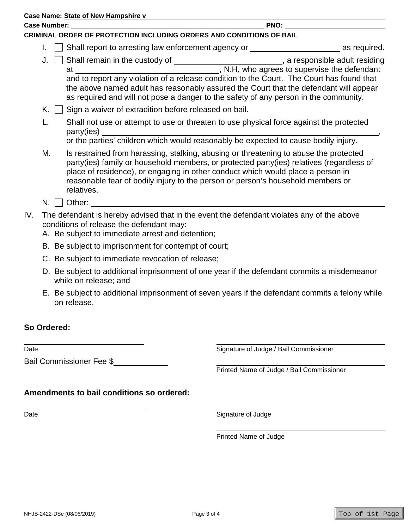| Case Name: State of New Hampshire v                                                                                                                                                                                                            |                                                                                                                                                                                                                                                                                                                                                                            |  |  |  |  |
|------------------------------------------------------------------------------------------------------------------------------------------------------------------------------------------------------------------------------------------------|----------------------------------------------------------------------------------------------------------------------------------------------------------------------------------------------------------------------------------------------------------------------------------------------------------------------------------------------------------------------------|--|--|--|--|
| <b>Case Number: Case Number: Case Number: Case Number: Case Number: Case Number:</b>                                                                                                                                                           |                                                                                                                                                                                                                                                                                                                                                                            |  |  |  |  |
|                                                                                                                                                                                                                                                | CRIMINAL ORDER OF PROTECTION INCLUDING ORDERS AND CONDITIONS OF BAIL                                                                                                                                                                                                                                                                                                       |  |  |  |  |
| I.                                                                                                                                                                                                                                             | Shall report to arresting law enforcement agency or ____________________________ as required.                                                                                                                                                                                                                                                                              |  |  |  |  |
| J.                                                                                                                                                                                                                                             | Shall remain in the custody of _______________________________, a responsible adult residing<br>and to report any violation of a release condition to the Court. The Court has found that<br>the above named adult has reasonably assured the Court that the defendant will appear<br>as required and will not pose a danger to the safety of any person in the community. |  |  |  |  |
| Sign a waiver of extradition before released on bail.<br>K. II                                                                                                                                                                                 |                                                                                                                                                                                                                                                                                                                                                                            |  |  |  |  |
| L.                                                                                                                                                                                                                                             | Shall not use or attempt to use or threaten to use physical force against the protected                                                                                                                                                                                                                                                                                    |  |  |  |  |
| М.<br>relatives.                                                                                                                                                                                                                               | Is restrained from harassing, stalking, abusing or threatening to abuse the protected<br>party(ies) family or household members, or protected party(ies) relatives (regardless of<br>place of residence), or engaging in other conduct which would place a person in<br>reasonable fear of bodily injury to the person or person's household members or                    |  |  |  |  |
| Other: We have a state of the state of the state of the state of the state of the state of the state of the state of the state of the state of the state of the state of the state of the state of the state of the state of t<br>$N.$ $\perp$ |                                                                                                                                                                                                                                                                                                                                                                            |  |  |  |  |
| IV.<br>conditions of release the defendant may:<br>A. Be subject to immediate arrest and detention;                                                                                                                                            | The defendant is hereby advised that in the event the defendant violates any of the above                                                                                                                                                                                                                                                                                  |  |  |  |  |
| B. Be subject to imprisonment for contempt of court;                                                                                                                                                                                           |                                                                                                                                                                                                                                                                                                                                                                            |  |  |  |  |
| C. Be subject to immediate revocation of release;                                                                                                                                                                                              |                                                                                                                                                                                                                                                                                                                                                                            |  |  |  |  |

- D. Be subject to additional imprisonment of one year if the defendant commits a misdemeanor while on release; and
- E. Be subject to additional imprisonment of seven years if the defendant commits a felony while on release.

### **So Ordered:**

 $\overline{Date}$ 

Bail Commissioner Fee \$

Signature of Judge / Bail Commissioner

Printed Name of Judge / Bail Commissioner

**Amendments to bail conditions so ordered:**

Date **Signature of Judge** 

Printed Name of Judge